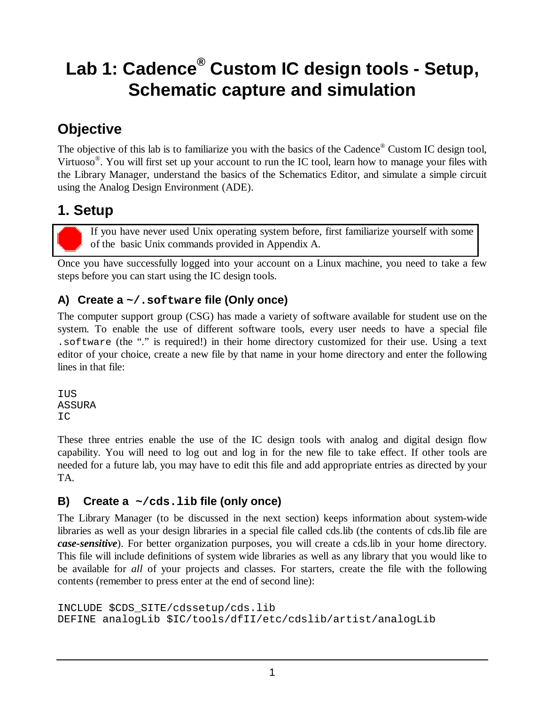# **Lab 1: Cadence® Custom IC design tools - Setup, Schematic capture and simulation**

## **Objective**

The objective of this lab is to familiarize you with the basics of the Cadence<sup>®</sup> Custom IC design tool, Virtuoso<sup>®</sup>. You will first set up your account to run the IC tool, learn how to manage your files with the Library Manager, understand the basics of the Schematics Editor, and simulate a simple circuit using the Analog Design Environment (ADE).

## **1. Setup**

If you have never used Unix operating system before, first familiarize yourself with some of the basic Unix commands provided in Appendix A.

Once you have successfully logged into your account on a Linux machine, you need to take a few steps before you can start using the IC design tools.

## **A) Create a ~/.software file (Only once)**

The computer support group (CSG) has made a variety of software available for student use on the system. To enable the use of different software tools, every user needs to have a special file .software (the "." is required!) in their home directory customized for their use. Using a text editor of your choice, create a new file by that name in your home directory and enter the following lines in that file:

IUS ASSURA IC

These three entries enable the use of the IC design tools with analog and digital design flow capability. You will need to log out and log in for the new file to take effect. If other tools are needed for a future lab, you may have to edit this file and add appropriate entries as directed by your TA.

## **B) Create a ~/cds.lib file (only once)**

The Library Manager (to be discussed in the next section) keeps information about system-wide libraries as well as your design libraries in a special file called cds.lib (the contents of cds.lib file are *case-sensitive*). For better organization purposes, you will create a cds.lib in your home directory. This file will include definitions of system wide libraries as well as any library that you would like to be available for *all* of your projects and classes. For starters, create the file with the following contents (remember to press enter at the end of second line):

```
INCLUDE $CDS_SITE/cdssetup/cds.lib 
DEFINE analogLib $IC/tools/dfII/etc/cdslib/artist/analogLib
```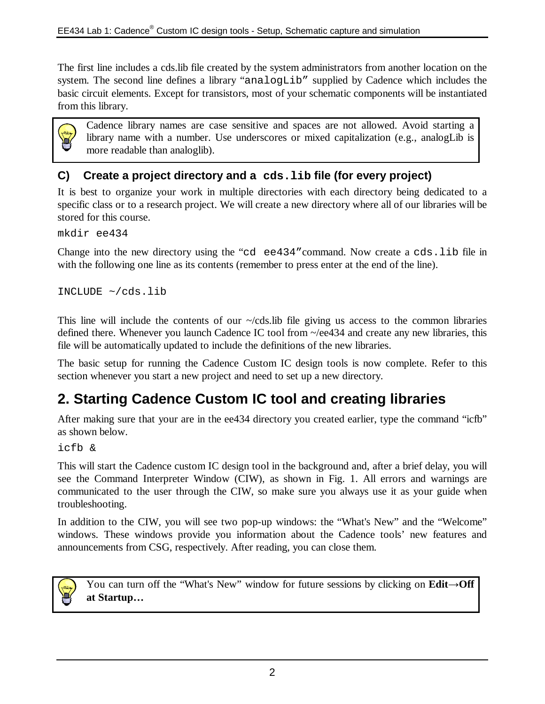The first line includes a cds.lib file created by the system administrators from another location on the system. The second line defines a library "analogLib" supplied by Cadence which includes the basic circuit elements. Except for transistors, most of your schematic components will be instantiated from this library.



Cadence library names are case sensitive and spaces are not allowed. Avoid starting a library name with a number. Use underscores or mixed capitalization (e.g., analogLib is more readable than analoglib).

### **C) Create a project directory and a cds.lib file (for every project)**

It is best to organize your work in multiple directories with each directory being dedicated to a specific class or to a research project. We will create a new directory where all of our libraries will be stored for this course.

mkdir ee434

Change into the new directory using the "cd ee434"command. Now create a cds.lib file in with the following one line as its contents (remember to press enter at the end of the line).

INCLUDE ~/cds.lib

This line will include the contents of our  $-\prime$  cds. lib file giving us access to the common libraries defined there. Whenever you launch Cadence IC tool from ~/ee434 and create any new libraries, this file will be automatically updated to include the definitions of the new libraries.

The basic setup for running the Cadence Custom IC design tools is now complete. Refer to this section whenever you start a new project and need to set up a new directory.

## **2. Starting Cadence Custom IC tool and creating libraries**

After making sure that your are in the ee434 directory you created earlier, type the command "icfb" as shown below.

icfb &

This will start the Cadence custom IC design tool in the background and, after a brief delay, you will see the Command Interpreter Window (CIW), as shown in Fig. 1. All errors and warnings are communicated to the user through the CIW, so make sure you always use it as your guide when troubleshooting.

In addition to the CIW, you will see two pop-up windows: the "What's New" and the "Welcome" windows. These windows provide you information about the Cadence tools' new features and announcements from CSG, respectively. After reading, you can close them.



You can turn off the "What's New" window for future sessions by clicking on **Edit→Off at Startup…**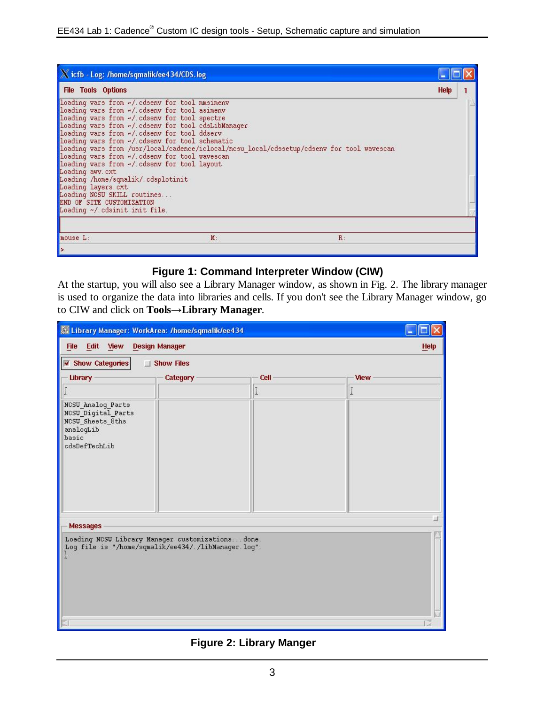| X icfb - Log: /home/sqmalik/ee434/CDS.log                                                                                                                                                                                                                                                                                                                                                                                                                                                                                                                                                                                                                                      |             |  |
|--------------------------------------------------------------------------------------------------------------------------------------------------------------------------------------------------------------------------------------------------------------------------------------------------------------------------------------------------------------------------------------------------------------------------------------------------------------------------------------------------------------------------------------------------------------------------------------------------------------------------------------------------------------------------------|-------------|--|
| <b>File Tools Options</b>                                                                                                                                                                                                                                                                                                                                                                                                                                                                                                                                                                                                                                                      | <b>Help</b> |  |
| loading vars from ~/ cdsenv for tool mmsimenv<br>loading vars from w/ cdsenv for tool asimenv<br>loading vars from w/ cdsenv for tool spectre<br>loading vars from w/ cdsenv for tool cdsLibManager<br>loading vars from w/ cdsenv for tool ddserv<br>loading vars from w/ cdsenv for tool schematic<br>loading vars from /usr/local/cadence/iclocal/ncsu local/cdssetup/cdsenv for tool wavescan<br>loading vars from w/ cdsenv for tool wavescan<br>loading vars from ~/ cdsenv for tool layout<br>Loading awv.cxt<br>Loading /home/sqmalik/.cdsplotinit<br>Loading layers. cxt<br>Loading NCSU SKILL routines<br>END OF SITE CUSTOMIZATION<br>Loading ~/ cdsinit init file. |             |  |
| mouse L:<br>$R$ :<br>M:                                                                                                                                                                                                                                                                                                                                                                                                                                                                                                                                                                                                                                                        |             |  |
| Þ                                                                                                                                                                                                                                                                                                                                                                                                                                                                                                                                                                                                                                                                              |             |  |

### **Figure 1: Command Interpreter Window (CIW)**

At the startup, you will also see a Library Manager window, as shown in Fig. 2. The library manager is used to organize the data into libraries and cells. If you don't see the Library Manager window, go to CIW and click on **Tools→Library Manager**.

| & Library Manager: WorkArea: /home/sqmalik/ee434                                                              |                       |                      |          | m           |
|---------------------------------------------------------------------------------------------------------------|-----------------------|----------------------|----------|-------------|
| Edit View<br><b>File</b>                                                                                      | <b>Design Manager</b> |                      |          | <b>Help</b> |
| Show Categories                                                                                               | Show Files            |                      |          |             |
| Library                                                                                                       | Category              | Cell                 | View     |             |
| $\check{\mathbb{I}}$                                                                                          |                       | $\check{\mathbb{I}}$ | $\vdots$ |             |
| NCSU Analog Parts<br>NCSU_Digital_Parts<br>NCSU_Sheets_8ths<br>analogLib<br>basic<br>cdsDefTechLib            |                       |                      |          |             |
| <b>Messages</b>                                                                                               |                       |                      |          |             |
| Loading NCSU Library Manager customizationsdone.<br>Log file is "/home/sqmalik/ee434/./libManager.log".<br>i. |                       |                      |          |             |

**Figure 2: Library Manger**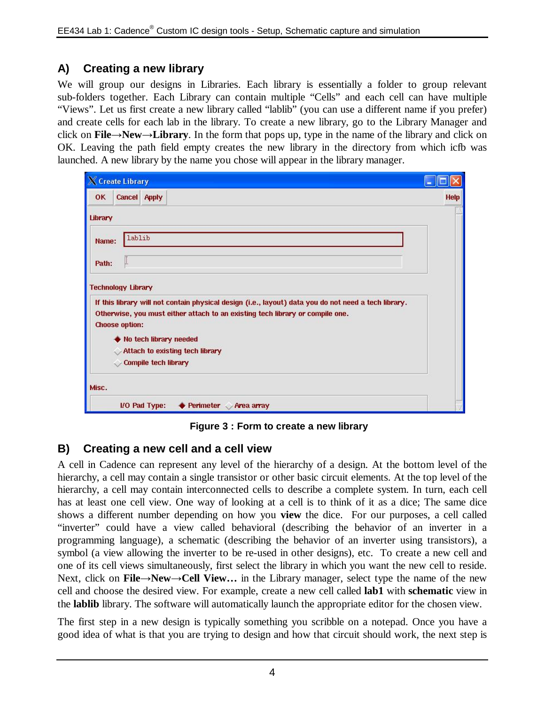### **A) Creating a new library**

We will group our designs in Libraries. Each library is essentially a folder to group relevant sub-folders together. Each Library can contain multiple "Cells" and each cell can have multiple "Views". Let us first create a new library called "lablib" (you can use a different name if you prefer) and create cells for each lab in the library. To create a new library, go to the Library Manager and click on **File→New→Library**. In the form that pops up, type in the name of the library and click on OK. Leaving the path field empty creates the new library in the directory from which icfb was launched. A new library by the name you chose will appear in the library manager.

| X Create Library |                           |                             |                                                                                                                                                                                       |      |
|------------------|---------------------------|-----------------------------|---------------------------------------------------------------------------------------------------------------------------------------------------------------------------------------|------|
| <b>OK</b>        | <b>Cancel Apply</b>       |                             |                                                                                                                                                                                       | Help |
| Library          |                           |                             |                                                                                                                                                                                       |      |
| Name:            | lablib                    |                             |                                                                                                                                                                                       |      |
| Path:            | L                         |                             |                                                                                                                                                                                       |      |
|                  | <b>Technology Library</b> |                             |                                                                                                                                                                                       |      |
|                  | <b>Choose option:</b>     |                             | If this library will not contain physical design (i.e., layout) data you do not need a tech library.<br>Otherwise, you must either attach to an existing tech library or compile one. |      |
|                  |                           |                             | No tech library needed                                                                                                                                                                |      |
|                  |                           |                             | Attach to existing tech library                                                                                                                                                       |      |
|                  |                           | <b>Compile tech library</b> |                                                                                                                                                                                       |      |
| Misc.            |                           |                             |                                                                                                                                                                                       |      |
|                  |                           | I/O Pad Type:               | ♦ Perimeter<br>Area array                                                                                                                                                             |      |

**Figure 3 : Form to create a new library**

### **B) Creating a new cell and a cell view**

A cell in Cadence can represent any level of the hierarchy of a design. At the bottom level of the hierarchy, a cell may contain a single transistor or other basic circuit elements. At the top level of the hierarchy, a cell may contain interconnected cells to describe a complete system. In turn, each cell has at least one cell view. One way of looking at a cell is to think of it as a dice; The same dice shows a different number depending on how you **view** the dice. For our purposes, a cell called "inverter" could have a view called behavioral (describing the behavior of an inverter in a programming language), a schematic (describing the behavior of an inverter using transistors), a symbol (a view allowing the inverter to be re-used in other designs), etc. To create a new cell and one of its cell views simultaneously, first select the library in which you want the new cell to reside. Next, click on **File→New→Cell View…** in the Library manager, select type the name of the new cell and choose the desired view. For example, create a new cell called **lab1** with **schematic** view in the **lablib** library. The software will automatically launch the appropriate editor for the chosen view.

The first step in a new design is typically something you scribble on a notepad. Once you have a good idea of what is that you are trying to design and how that circuit should work, the next step is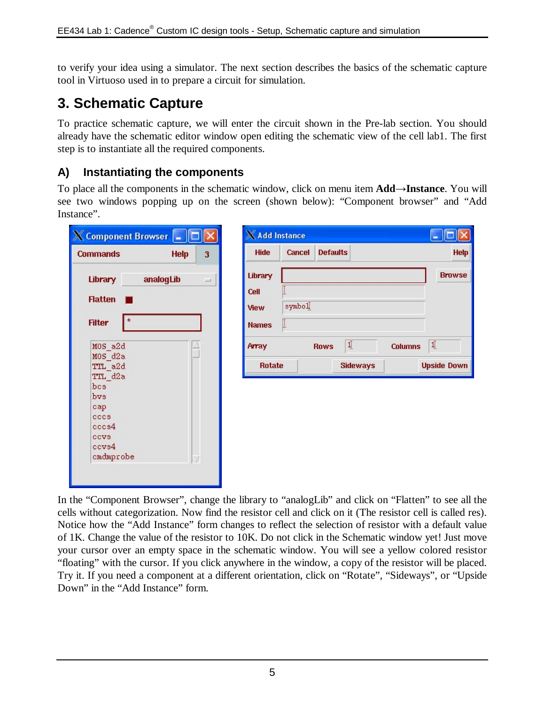to verify your idea using a simulator. The next section describes the basics of the schematic capture tool in Virtuoso used in to prepare a circuit for simulation.

## **3. Schematic Capture**

To practice schematic capture, we will enter the circuit shown in the Pre-lab section. You should already have the schematic editor window open editing the schematic view of the cell lab1. The first step is to instantiate all the required components.

### **A) Instantiating the components**

To place all the components in the schematic window, click on menu item **Add→Instance**. You will see two windows popping up on the screen (shown below): "Component browser" and "Add Instance".

| <b>Commands</b>          | Help      | 3    |
|--------------------------|-----------|------|
| Library                  | analogLib | $-1$ |
| <b>Flatten</b>           |           |      |
| $\star$<br><b>Filter</b> |           |      |
|                          |           |      |
| MOS a2d<br>MOS d2a       |           |      |
| TTL a2d                  |           |      |
| TTL d2a                  |           |      |
| bcs.                     |           |      |
| bys                      |           |      |
| cap                      |           |      |
| cccs                     |           |      |
| cccs4                    |           |      |
| <b>CCVS</b>              |           |      |
| ccvs4                    |           |      |
| cmdmprobe                |           |      |

| $\times$ Add Instance |        |                    |                |                    |
|-----------------------|--------|--------------------|----------------|--------------------|
| <b>Hide</b>           | Cancel | <b>Defaults</b>    |                | <b>Help</b>        |
| Library               |        |                    |                | <b>Browse</b>      |
| Cell                  | Ĭ      |                    |                |                    |
| View                  | symbol |                    |                |                    |
| <b>Names</b>          | Ĭ      |                    |                |                    |
| Array                 |        | $1$<br><b>Rows</b> | <b>Columns</b> | $\mathbf{1}$       |
| <b>Rotate</b>         |        | <b>Sideways</b>    |                | <b>Upside Down</b> |

In the "Component Browser", change the library to "analogLib" and click on "Flatten" to see all the cells without categorization. Now find the resistor cell and click on it (The resistor cell is called res). Notice how the "Add Instance" form changes to reflect the selection of resistor with a default value of 1K. Change the value of the resistor to 10K. Do not click in the Schematic window yet! Just move your cursor over an empty space in the schematic window. You will see a yellow colored resistor "floating" with the cursor. If you click anywhere in the window, a copy of the resistor will be placed. Try it. If you need a component at a different orientation, click on "Rotate", "Sideways", or "Upside Down" in the "Add Instance" form.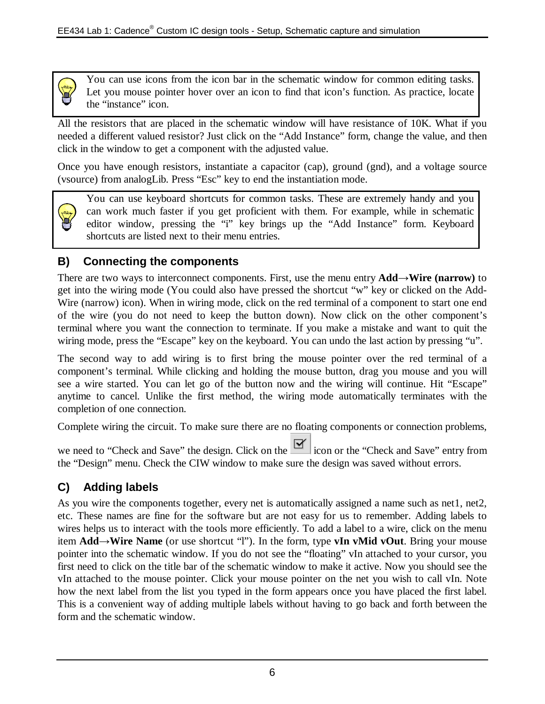

You can use icons from the icon bar in the schematic window for common editing tasks. Let you mouse pointer hover over an icon to find that icon's function. As practice, locate the "instance" icon.

All the resistors that are placed in the schematic window will have resistance of 10K. What if you needed a different valued resistor? Just click on the "Add Instance" form, change the value, and then click in the window to get a component with the adjusted value.

Once you have enough resistors, instantiate a capacitor (cap), ground (gnd), and a voltage source (vsource) from analogLib. Press "Esc" key to end the instantiation mode.

You can use keyboard shortcuts for common tasks. These are extremely handy and you can work much faster if you get proficient with them. For example, while in schematic editor window, pressing the "i" key brings up the "Add Instance" form. Keyboard shortcuts are listed next to their menu entries.

## **B) Connecting the components**

There are two ways to interconnect components. First, use the menu entry **Add→Wire (narrow)** to get into the wiring mode (You could also have pressed the shortcut "w" key or clicked on the Add-Wire (narrow) icon). When in wiring mode, click on the red terminal of a component to start one end of the wire (you do not need to keep the button down). Now click on the other component's terminal where you want the connection to terminate. If you make a mistake and want to quit the wiring mode, press the "Escape" key on the keyboard. You can undo the last action by pressing "u".

The second way to add wiring is to first bring the mouse pointer over the red terminal of a component's terminal. While clicking and holding the mouse button, drag you mouse and you will see a wire started. You can let go of the button now and the wiring will continue. Hit "Escape" anytime to cancel. Unlike the first method, the wiring mode automatically terminates with the completion of one connection.

Complete wiring the circuit. To make sure there are no floating components or connection problems,

we need to "Check and Save" the design. Click on the  $\mathbb{R}$  icon or the "Check and Save" entry from the "Design" menu. Check the CIW window to make sure the design was saved without errors.

## **C) Adding labels**

As you wire the components together, every net is automatically assigned a name such as net1, net2, etc. These names are fine for the software but are not easy for us to remember. Adding labels to wires helps us to interact with the tools more efficiently. To add a label to a wire, click on the menu item **Add→Wire Name** (or use shortcut "l"). In the form, type **vIn vMid vOut**. Bring your mouse pointer into the schematic window. If you do not see the "floating" vIn attached to your cursor, you first need to click on the title bar of the schematic window to make it active. Now you should see the vIn attached to the mouse pointer. Click your mouse pointer on the net you wish to call vIn. Note how the next label from the list you typed in the form appears once you have placed the first label. This is a convenient way of adding multiple labels without having to go back and forth between the form and the schematic window.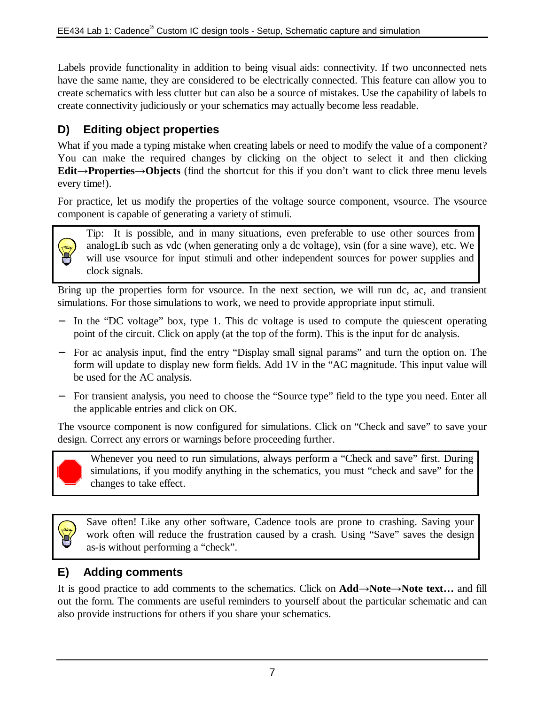Labels provide functionality in addition to being visual aids: connectivity. If two unconnected nets have the same name, they are considered to be electrically connected. This feature can allow you to create schematics with less clutter but can also be a source of mistakes. Use the capability of labels to create connectivity judiciously or your schematics may actually become less readable.

## **D) Editing object properties**

What if you made a typing mistake when creating labels or need to modify the value of a component? You can make the required changes by clicking on the object to select it and then clicking **Edit→Properties→Objects** (find the shortcut for this if you don't want to click three menu levels every time!).

For practice, let us modify the properties of the voltage source component, vsource. The vsource component is capable of generating a variety of stimuli.



Tip: It is possible, and in many situations, even preferable to use other sources from analogLib such as vdc (when generating only a dc voltage), vsin (for a sine wave), etc. We will use vsource for input stimuli and other independent sources for power supplies and clock signals.

Bring up the properties form for vsource. In the next section, we will run dc, ac, and transient simulations. For those simulations to work, we need to provide appropriate input stimuli.

- − In the "DC voltage" box, type 1. This dc voltage is used to compute the quiescent operating point of the circuit. Click on apply (at the top of the form). This is the input for dc analysis.
- − For ac analysis input, find the entry "Display small signal params" and turn the option on. The form will update to display new form fields. Add 1V in the "AC magnitude. This input value will be used for the AC analysis.
- − For transient analysis, you need to choose the "Source type" field to the type you need. Enter all the applicable entries and click on OK.

The vsource component is now configured for simulations. Click on "Check and save" to save your design. Correct any errors or warnings before proceeding further.



Whenever you need to run simulations, always perform a "Check and save" first. During simulations, if you modify anything in the schematics, you must "check and save" for the changes to take effect.

Save often! Like any other software, Cadence tools are prone to crashing. Saving your work often will reduce the frustration caused by a crash. Using "Save" saves the design as-is without performing a "check".

### **E) Adding comments**

It is good practice to add comments to the schematics. Click on **Add→Note→Note text…** and fill out the form. The comments are useful reminders to yourself about the particular schematic and can also provide instructions for others if you share your schematics.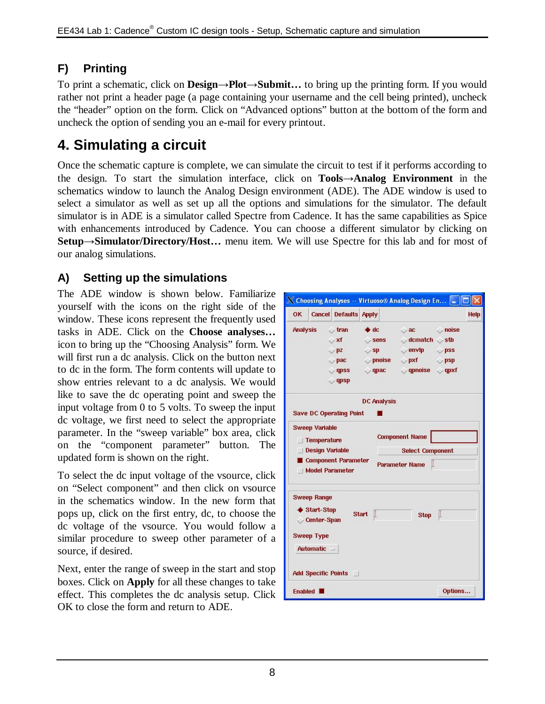## **F) Printing**

To print a schematic, click on **Design→Plot→Submit…** to bring up the printing form. If you would rather not print a header page (a page containing your username and the cell being printed), uncheck the "header" option on the form. Click on "Advanced options" button at the bottom of the form and uncheck the option of sending you an e-mail for every printout.

## **4. Simulating a circuit**

Once the schematic capture is complete, we can simulate the circuit to test if it performs according to the design. To start the simulation interface, click on **Tools→Analog Environment** in the schematics window to launch the Analog Design environment (ADE). The ADE window is used to select a simulator as well as set up all the options and simulations for the simulator. The default simulator is in ADE is a simulator called Spectre from Cadence. It has the same capabilities as Spice with enhancements introduced by Cadence. You can choose a different simulator by clicking on **Setup→Simulator/Directory/Host…** menu item. We will use Spectre for this lab and for most of our analog simulations.

## **A) Setting up the simulations**

The ADE window is shown below. Familiarize yourself with the icons on the right side of the window. These icons represent the frequently used tasks in ADE. Click on the **Choose analyses…** icon to bring up the "Choosing Analysis" form. We will first run a dc analysis. Click on the button next to dc in the form. The form contents will update to show entries relevant to a dc analysis. We would like to save the dc operating point and sweep the input voltage from 0 to 5 volts. To sweep the input dc voltage, we first need to select the appropriate parameter. In the "sweep variable" box area, click on the "component parameter" button. The updated form is shown on the right.

To select the dc input voltage of the vsource, click on "Select component" and then click on vsource in the schematics window. In the new form that pops up, click on the first entry, dc, to choose the dc voltage of the vsource. You would follow a similar procedure to sweep other parameter of a source, if desired.

Next, enter the range of sweep in the start and stop boxes. Click on **Apply** for all these changes to take effect. This completes the dc analysis setup. Click OK to close the form and return to ADE.

|                 |                                                                                       |                                                                                                         |                                                             | X Choosing Analyses -- Virtuoso® Analog Design En  -                                                                                          |                          |      |
|-----------------|---------------------------------------------------------------------------------------|---------------------------------------------------------------------------------------------------------|-------------------------------------------------------------|-----------------------------------------------------------------------------------------------------------------------------------------------|--------------------------|------|
| <b>OK</b>       |                                                                                       | <b>Cancel Defaults Apply</b>                                                                            |                                                             |                                                                                                                                               |                          | Help |
| <b>Analysis</b> |                                                                                       | $\sqrt{tran}$<br>$\rightarrow$ xf<br>$\triangledown$ pz<br>$\rightarrow$ pac<br>$q$ apss<br>$\vee$ qpsp | $\triangleq$ dc<br>$\circ$ sens<br>$\vee$ sp<br>$\vee$ qpac | $\sim$ ac $\sim$ noise<br>$\Diamond$ dcmatch $\Diamond$ stb<br>$\vee$ envip<br>$\Diamond$ pnoise $\Diamond$ pxf<br>$\vee$ qpnoise $\vee$ qpxf | $\vee$ pss<br>$\vee$ psp |      |
|                 |                                                                                       | <b>Save DC Operating Point</b>                                                                          | <b>DC Analysis</b>                                          |                                                                                                                                               |                          |      |
|                 | <b>Sweep Variable</b><br>Temperature<br><b>Design Variable</b>                        | <b>Component Parameter</b><br><b>Model Parameter</b>                                                    |                                                             | <b>Component Name</b><br><b>Select Component</b><br>L<br><b>Parameter Name</b>                                                                |                          |      |
|                 | <b>Sweep Range</b><br>♦ Start-Stop<br>Center-Span<br><b>Sweep Type</b><br>Automatic = |                                                                                                         | <b>Start</b><br>L                                           | <b>Stop</b>                                                                                                                                   | L                        |      |
|                 |                                                                                       | <b>Add Specific Points</b>                                                                              |                                                             |                                                                                                                                               |                          |      |
| <b>Enabled</b>  |                                                                                       |                                                                                                         |                                                             |                                                                                                                                               | Options                  |      |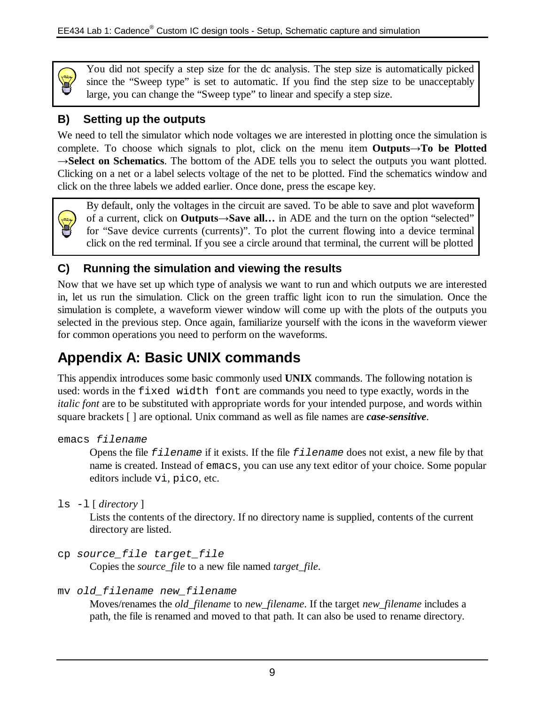

You did not specify a step size for the dc analysis. The step size is automatically picked since the "Sweep type" is set to automatic. If you find the step size to be unacceptably large, you can change the "Sweep type" to linear and specify a step size.

## **B) Setting up the outputs**

We need to tell the simulator which node voltages we are interested in plotting once the simulation is complete. To choose which signals to plot, click on the menu item **Outputs→To be Plotted →Select on Schematics**. The bottom of the ADE tells you to select the outputs you want plotted. Clicking on a net or a label selects voltage of the net to be plotted. Find the schematics window and click on the three labels we added earlier. Once done, press the escape key.



By default, only the voltages in the circuit are saved. To be able to save and plot waveform of a current, click on **Outputs→Save all…** in ADE and the turn on the option "selected" for "Save device currents (currents)". To plot the current flowing into a device terminal click on the red terminal. If you see a circle around that terminal, the current will be plotted

### **C) Running the simulation and viewing the results**

Now that we have set up which type of analysis we want to run and which outputs we are interested in, let us run the simulation. Click on the green traffic light icon to run the simulation. Once the simulation is complete, a waveform viewer window will come up with the plots of the outputs you selected in the previous step. Once again, familiarize yourself with the icons in the waveform viewer for common operations you need to perform on the waveforms.

## **Appendix A: Basic UNIX commands**

This appendix introduces some basic commonly used **UNIX** commands. The following notation is used: words in the fixed width font are commands you need to type exactly, words in the *italic font* are to be substituted with appropriate words for your intended purpose, and words within square brackets [ ] are optional. Unix command as well as file names are *case-sensitive*.

```
emacs filename
```
Opens the file *filename* if it exists. If the file *filename* does not exist, a new file by that name is created. Instead of emacs, you can use any text editor of your choice. Some popular editors include vi, pico, etc.

ls -l [ *directory* ]

Lists the contents of the directory. If no directory name is supplied, contents of the current directory are listed.

cp *source\_file target\_file* 

Copies the *source\_file* to a new file named *target\_file*.

mv *old\_filename new\_filename* 

Moves/renames the *old\_filename* to *new\_filename*. If the target *new\_filename* includes a path, the file is renamed and moved to that path. It can also be used to rename directory.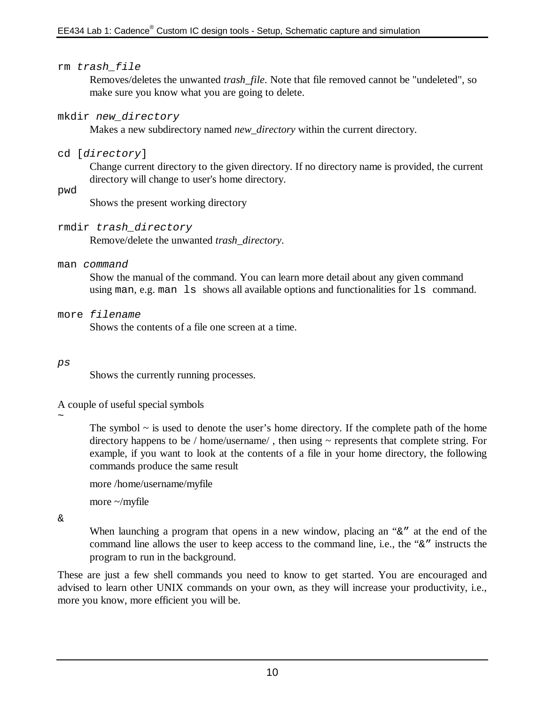### rm *trash\_file*

Removes/deletes the unwanted *trash\_file*. Note that file removed cannot be "undeleted", so make sure you know what you are going to delete.

#### mkdir *new\_directory*

Makes a new subdirectory named *new\_directory* within the current directory.

### cd [*directory*]

Change current directory to the given directory. If no directory name is provided, the current directory will change to user's home directory.

#### pwd

Shows the present working directory

### rmdir *trash\_directory*

Remove/delete the unwanted *trash\_directory*.

#### man *command*

Show the manual of the command. You can learn more detail about any given command using man, e.g. man ls shows all available options and functionalities for ls command.

#### more *filename*

Shows the contents of a file one screen at a time.

#### *ps*

Shows the currently running processes.

A couple of useful special symbols

 $\sim$ 

The symbol  $\sim$  is used to denote the user's home directory. If the complete path of the home directory happens to be / home/username/, then using ~ represents that complete string. For example, if you want to look at the contents of a file in your home directory, the following commands produce the same result

more /home/username/myfile

more  $\sim$ /myfile

&

When launching a program that opens in a new window, placing an " $\&$ " at the end of the command line allows the user to keep access to the command line, i.e., the "&" instructs the program to run in the background.

These are just a few shell commands you need to know to get started. You are encouraged and advised to learn other UNIX commands on your own, as they will increase your productivity, i.e., more you know, more efficient you will be.